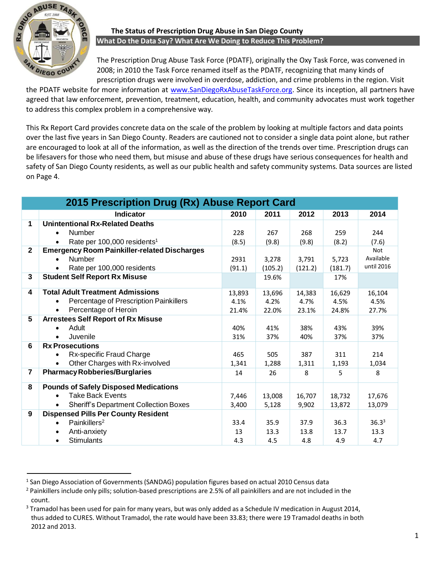

# **The Status of Prescription Drug Abuse in San Diego County What Do the Data Say? What Are We Doing to Reduce This Problem?**

The Prescription Drug Abuse Task Force (PDATF), originally the Oxy Task Force, was convened in 2008; in 2010 the Task Force renamed itself as the PDATF, recognizing that many kinds of prescription drugs were involved in overdose, addiction, and crime problems in the region. Visit

the PDATF website for more information at [www.SanDiegoRxAbuseTaskForce.org.](http://www.sandiegorxabusetaskforce.org/) Since its inception, all partners have agreed that law enforcement, prevention, treatment, education, health, and community advocates must work together to address this complex problem in a comprehensive way.

This Rx Report Card provides concrete data on the scale of the problem by looking at multiple factors and data points over the last five years in San Diego County. Readers are cautioned not to consider a single data point alone, but rather are encouraged to look at all of the information, as well as the direction of the trends over time. Prescription drugs can be lifesavers for those who need them, but misuse and abuse of these drugs have serious consequences for health and safety of San Diego County residents, as well as our public health and safety community systems. Data sources are listed on Page 4.

| 2015 Prescription Drug (Rx) Abuse Report Card |                                                     |        |         |         |         |            |  |  |
|-----------------------------------------------|-----------------------------------------------------|--------|---------|---------|---------|------------|--|--|
|                                               | Indicator                                           | 2010   | 2011    | 2012    | 2013    | 2014       |  |  |
| 1                                             | <b>Unintentional Rx-Related Deaths</b>              |        |         |         |         |            |  |  |
|                                               | Number                                              | 228    | 267     | 268     | 259     | 244        |  |  |
|                                               | Rate per 100,000 residents <sup>1</sup>             | (8.5)  | (9.8)   | (9.8)   | (8.2)   | (7.6)      |  |  |
| $\mathbf{2}$                                  | <b>Emergency Room Painkiller-related Discharges</b> |        |         |         |         | <b>Not</b> |  |  |
|                                               | Number                                              | 2931   | 3,278   | 3,791   | 5,723   | Available  |  |  |
|                                               | Rate per 100,000 residents                          | (91.1) | (105.2) | (121.2) | (181.7) | until 2016 |  |  |
| 3                                             | <b>Student Self Report Rx Misuse</b>                |        | 19.6%   |         | 17%     |            |  |  |
| 4                                             | <b>Total Adult Treatment Admissions</b>             | 13,893 | 13,696  | 14,383  | 16,629  | 16,104     |  |  |
|                                               | Percentage of Prescription Painkillers              | 4.1%   | 4.2%    | 4.7%    | 4.5%    | 4.5%       |  |  |
|                                               | Percentage of Heroin                                | 21.4%  | 22.0%   | 23.1%   | 24.8%   | 27.7%      |  |  |
| 5                                             | <b>Arrestees Self Report of Rx Misuse</b>           |        |         |         |         |            |  |  |
|                                               | Adult<br>$\bullet$                                  | 40%    | 41%     | 38%     | 43%     | 39%        |  |  |
|                                               | Juvenile                                            | 31%    | 37%     | 40%     | 37%     | 37%        |  |  |
| 6                                             | <b>Rx Prosecutions</b>                              |        |         |         |         |            |  |  |
|                                               | Rx-specific Fraud Charge                            | 465    | 505     | 387     | 311     | 214        |  |  |
|                                               | Other Charges with Rx-involved                      | 1,341  | 1,288   | 1,311   | 1,193   | 1,034      |  |  |
| $\overline{\mathbf{r}}$                       | <b>Pharmacy Robberies/Burglaries</b>                | 14     | 26      | 8       | 5       | 8          |  |  |
| 8                                             | <b>Pounds of Safely Disposed Medications</b>        |        |         |         |         |            |  |  |
|                                               | <b>Take Back Events</b>                             | 7,446  | 13,008  | 16,707  | 18,732  | 17,676     |  |  |
|                                               | <b>Sheriff's Department Collection Boxes</b>        | 3,400  | 5,128   | 9,902   | 13,872  | 13,079     |  |  |
| 9                                             | <b>Dispensed Pills Per County Resident</b>          |        |         |         |         |            |  |  |
|                                               | Painkillers <sup>2</sup>                            | 33.4   | 35.9    | 37.9    | 36.3    | $36.3^{3}$ |  |  |
|                                               | Anti-anxiety                                        | 13     | 13.3    | 13.8    | 13.7    | 13.3       |  |  |
|                                               | <b>Stimulants</b><br>$\bullet$                      | 4.3    | 4.5     | 4.8     | 4.9     | 4.7        |  |  |

 $^1$  San Diego Association of Governments (SANDAG) population figures based on actual 2010 Census data

<sup>&</sup>lt;sup>2</sup> Painkillers include only pills; solution-based prescriptions are 2.5% of all painkillers and are not included in the count.

 $3$  Tramadol has been used for pain for many years, but was only added as a Schedule IV medication in August 2014, thus added to CURES. Without Tramadol, the rate would have been 33.83; there were 19 Tramadol deaths in both 2012 and 2013.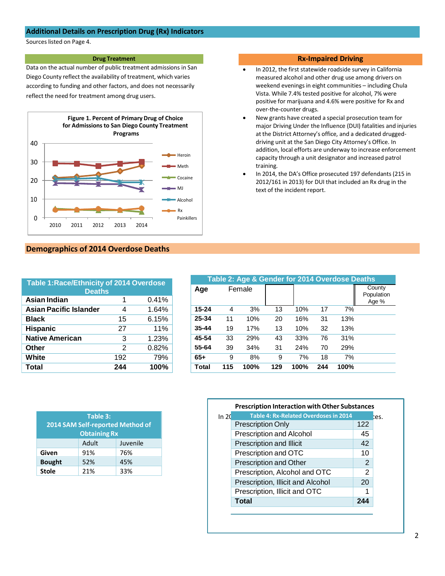### **Additional Details on Prescription Drug (Rx) Indicators**

Sources listed on Page 4.

#### **Drug Treatment**

Data on the actual number of public treatment admissions in San Diego County reflect the availability of treatment, which varies according to funding and other factors, and does not necessarily reflect the need for treatment among drug users.



## **Demographics of 2014 Overdose Deaths**

| <b>Table 1: Race/Ethnicity of 2014 Overdose</b><br><b>Deaths</b> |     |       |  |  |  |  |
|------------------------------------------------------------------|-----|-------|--|--|--|--|
| Asian Indian                                                     | 1   | 0.41% |  |  |  |  |
| <b>Asian Pacific Islander</b>                                    | 4   | 1.64% |  |  |  |  |
| <b>Black</b>                                                     | 15  | 6.15% |  |  |  |  |
| <b>Hispanic</b>                                                  | 27  | 11%   |  |  |  |  |
| <b>Native American</b>                                           | 3   | 1.23% |  |  |  |  |
| Other                                                            | 2   | 0.82% |  |  |  |  |
| White                                                            | 192 | 79%   |  |  |  |  |
| Total                                                            | 244 | 100%  |  |  |  |  |

**Stole** 21% 33%

|               | Table 3:<br>2014 SAM Self-reported Method of<br><b>Obtaining Rx</b> |          |
|---------------|---------------------------------------------------------------------|----------|
|               | Adult                                                               | Juvenile |
| Given         | 91%                                                                 | 76%      |
| <b>Bought</b> | 52%                                                                 | 45%      |

#### **Rx-Impaired Driving**

- In 2012, the first statewide roadside survey in California measured alcohol and other drug use among drivers on weekend evenings in eight communities – including Chula Vista. While 7.4% tested positive for alcohol, 7% were positive for marijuana and 4.6% were positive for Rx and over-the-counter drugs.
- New grants have created a special prosecution team for major Driving Under the Influence (DUI) fatalities and injuries at the District Attorney's office, and a dedicated druggeddriving unit at the San Diego City Attorney's Office. In addition, local efforts are underway to increase enforcement capacity through a unit designator and increased patrol training.
- In 2014, the DA's Office prosecuted 197 defendants (215 in 2012/161 in 2013) for DUI that included an Rx drug in the text of the incident report.

| Table 2: Age & Gender for 2014 Overdose Deaths |        |      |     |      |     |      |                               |  |
|------------------------------------------------|--------|------|-----|------|-----|------|-------------------------------|--|
| Age                                            | Female |      |     |      |     |      | County<br>Population<br>Age % |  |
| $15 - 24$                                      | 4      | 3%   | 13  | 10%  | 17  | 7%   |                               |  |
| 25-34                                          | 11     | 10%  | 20  | 16%  | 31  | 13%  |                               |  |
| $35 - 44$                                      | 19     | 17%  | 13  | 10%  | 32  | 13%  |                               |  |
| 45-54                                          | 33     | 29%  | 43  | 33%  | 76  | 31%  |                               |  |
| 55-64                                          | 39     | 34%  | 31  | 24%  | 70  | 29%  |                               |  |
| $65+$                                          | 9      | 8%   | 9   | 7%   | 18  | 7%   |                               |  |
| <b>Total</b>                                   | 115    | 100% | 129 | 100% | 244 | 100% |                               |  |

|       | <b>Prescription Interaction with Other Substances</b> |               |
|-------|-------------------------------------------------------|---------------|
| ln 20 | <b>Table 4: Rx-Related Overdoses in 2014</b>          |               |
|       | <b>Prescription Only</b>                              | 122           |
|       | <b>Prescription and Alcohol</b>                       | 45            |
|       | Prescription and Illicit                              | 42            |
|       | Prescription and OTC                                  | 10            |
|       | Prescription and Other                                | 2             |
|       | Prescription, Alcohol and OTC                         | $\mathcal{P}$ |
|       | Prescription, Illicit and Alcohol                     | 20            |
|       | Prescription, Illicit and OTC                         |               |
|       | <b>Total</b>                                          | 244           |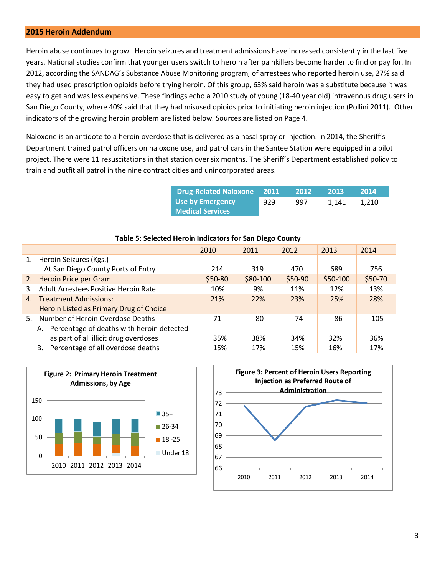### **2015 Heroin Addendum**

Heroin abuse continues to grow. Heroin seizures and treatment admissions have increased consistently in the last five years. National studies confirm that younger users switch to heroin after painkillers become harder to find or pay for. In 2012, according the SANDAG's Substance Abuse Monitoring program, of arrestees who reported heroin use, 27% said they had used prescription opioids before trying heroin. Of this group, 63% said heroin was a substitute because it was easy to get and was less expensive. These findings echo a 2010 study of young (18-40 year old) intravenous drug users in San Diego County, where 40% said that they had misused opioids prior to initiating heroin injection (Pollini 2011). Other indicators of the growing heroin problem are listed below. Sources are listed on Page 4.

Naloxone is an antidote to a heroin overdose that is delivered as a nasal spray or injection. In 2014, the Sheriff's Department trained patrol officers on naloxone use, and patrol cars in the Santee Station were equipped in a pilot project. There were 11 resuscitations in that station over six months. The Sheriff's Department established policy to train and outfit all patrol in the nine contract cities and unincorporated areas.

| <b>Drug-Related Naloxone</b> 2011           |     | 2012 | 2013  | <b>2014</b> |
|---------------------------------------------|-----|------|-------|-------------|
| Use by Emergency<br><b>Medical Services</b> | 929 | 997  | 1.141 | 1.210       |

|                |                                              | 2010     | 2011      | 2012    | 2013      | 2014    |
|----------------|----------------------------------------------|----------|-----------|---------|-----------|---------|
|                | 1. Heroin Seizures (Kgs.)                    |          |           |         |           |         |
|                | At San Diego County Ports of Entry           | 214      | 319       | 470     | 689       | 756     |
|                | 2. Heroin Price per Gram                     | $$50-80$ | $$80-100$ | \$50-90 | $$50-100$ | \$50-70 |
| 3.             | Adult Arrestees Positive Heroin Rate         | 10%      | 9%        | 11%     | 12%       | 13%     |
| $\mathbf{4}$ . | <b>Treatment Admissions:</b>                 | 21%      | 22%       | 23%     | 25%       | 28%     |
|                | Heroin Listed as Primary Drug of Choice      |          |           |         |           |         |
|                | 5. Number of Heroin Overdose Deaths          | 71       | 80        | 74      | 86        | 105     |
|                | A. Percentage of deaths with heroin detected |          |           |         |           |         |
|                | as part of all illicit drug overdoses        | 35%      | 38%       | 34%     | 32%       | 36%     |
|                | B. Percentage of all overdose deaths         | 15%      | 17%       | 15%     | 16%       | 17%     |

### **Table 5: Selected Heroin Indicators for San Diego County**